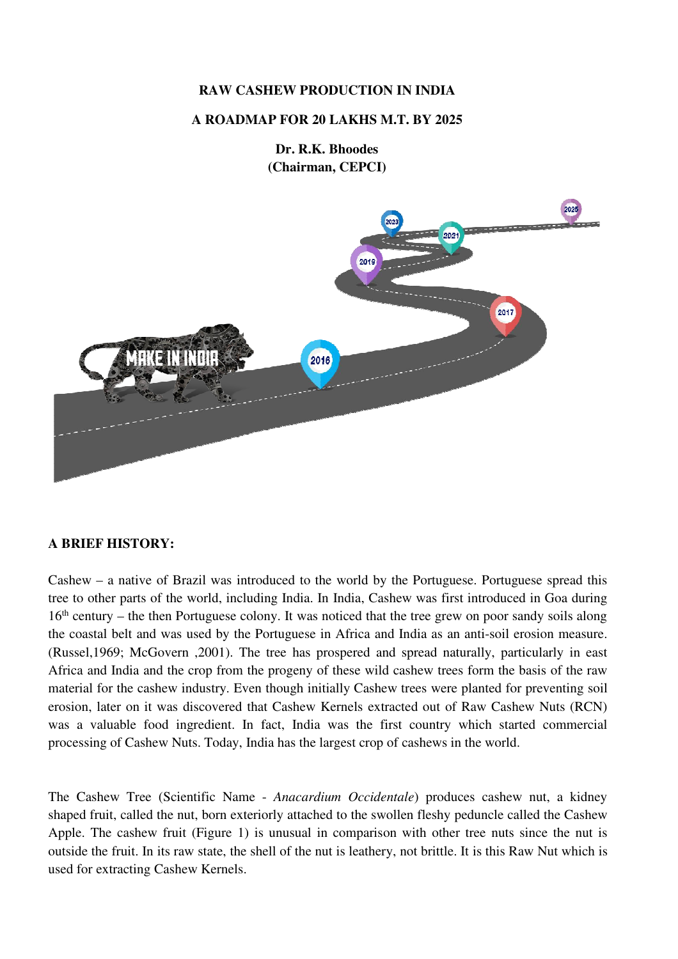# **RAW CASHEW PRODUCTION IN INDIA**

## **A ROADMAP FOR 20 LAKHS M.T. BY 2025**

**Dr. R.K. Bhoodes (Chairman, CEPCI)**



### **A BRIEF HISTORY:**

Cashew – a native of Brazil was introduced to the world by the Portuguese. Portuguese spread this tree to other parts of the world, including India. In India, Cashew was first introduced in Goa during 16th century – the then Portuguese colony. It was noticed that the tree grew on poor sandy soils along the coastal belt and was used by the Portuguese in Africa and India as an anti-soil erosion measure. (Russel,1969; McGovern ,2001). The tree has prospered and spread naturally, particularly in east Africa and India and the crop from the progeny of these wild cashew trees form the basis of the raw material for the cashew industry. Even though initially Cashew trees were planted for preventing soil erosion, later on it was discovered that Cashew Kernels extracted out of Raw Cashew Nuts (RCN) was a valuable food ingredient. In fact, India was the first country which started commercial processing of Cashew Nuts. Today, India has the largest crop of cashews in the world.

The Cashew Tree (Scientific Name - *Anacardium Occidentale*) produces cashew nut, a kidney shaped fruit, called the nut, born exteriorly attached to the swollen fleshy peduncle called the Cashew Apple. The cashew fruit (Figure 1) is unusual in comparison with other tree nuts since the nut is outside the fruit. In its raw state, the shell of the nut is leathery, not brittle. It is this Raw Nut which is used for extracting Cashew Kernels.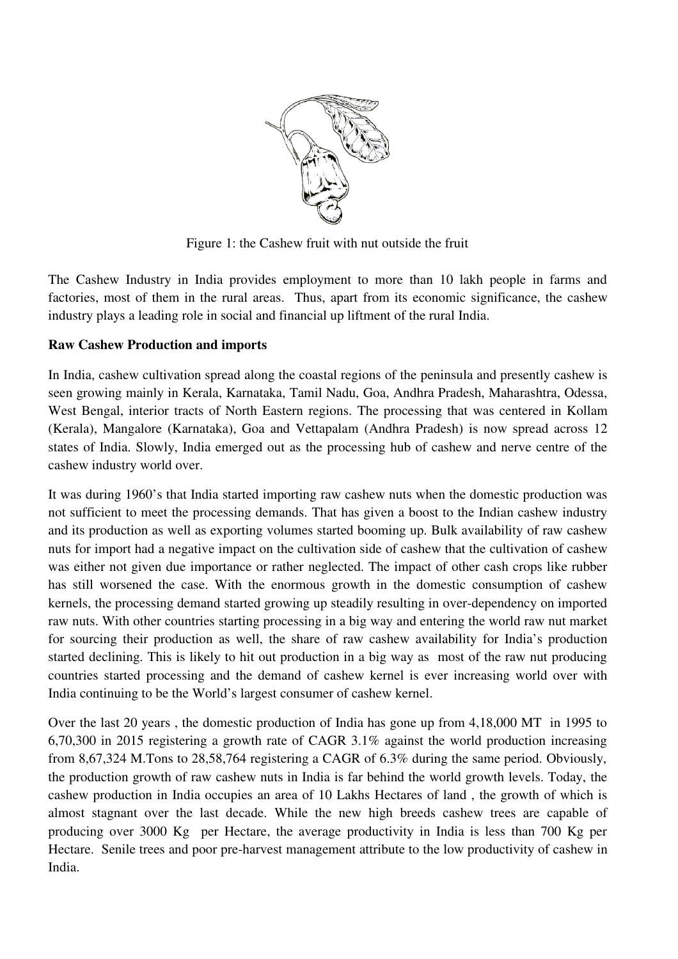

Figure 1: the Cashew fruit with nut outside the fruit

The Cashew Industry in India provides employment to more than 10 lakh people in farms and factories, most of them in the rural areas. Thus, apart from its economic significance, the cashew industry plays a leading role in social and financial up liftment of the rural India.

# **Raw Cashew Production and imports**

In India, cashew cultivation spread along the coastal regions of the peninsula and presently cashew is seen growing mainly in Kerala, Karnataka, Tamil Nadu, Goa, Andhra Pradesh, Maharashtra, Odessa, West Bengal, interior tracts of North Eastern regions. The processing that was centered in Kollam (Kerala), Mangalore (Karnataka), Goa and Vettapalam (Andhra Pradesh) is now spread across 12 states of India. Slowly, India emerged out as the processing hub of cashew and nerve centre of the cashew industry world over.

It was during 1960's that India started importing raw cashew nuts when the domestic production was not sufficient to meet the processing demands. That has given a boost to the Indian cashew industry and its production as well as exporting volumes started booming up. Bulk availability of raw cashew nuts for import had a negative impact on the cultivation side of cashew that the cultivation of cashew was either not given due importance or rather neglected. The impact of other cash crops like rubber has still worsened the case. With the enormous growth in the domestic consumption of cashew kernels, the processing demand started growing up steadily resulting in over-dependency on imported raw nuts. With other countries starting processing in a big way and entering the world raw nut market for sourcing their production as well, the share of raw cashew availability for India's production started declining. This is likely to hit out production in a big way as most of the raw nut producing countries started processing and the demand of cashew kernel is ever increasing world over with India continuing to be the World's largest consumer of cashew kernel.

Over the last 20 years , the domestic production of India has gone up from 4,18,000 MT in 1995 to 6,70,300 in 2015 registering a growth rate of CAGR 3.1% against the world production increasing from 8,67,324 M.Tons to 28,58,764 registering a CAGR of 6.3% during the same period. Obviously, the production growth of raw cashew nuts in India is far behind the world growth levels. Today, the cashew production in India occupies an area of 10 Lakhs Hectares of land , the growth of which is almost stagnant over the last decade. While the new high breeds cashew trees are capable of producing over 3000 Kg per Hectare, the average productivity in India is less than 700 Kg per Hectare. Senile trees and poor pre-harvest management attribute to the low productivity of cashew in India.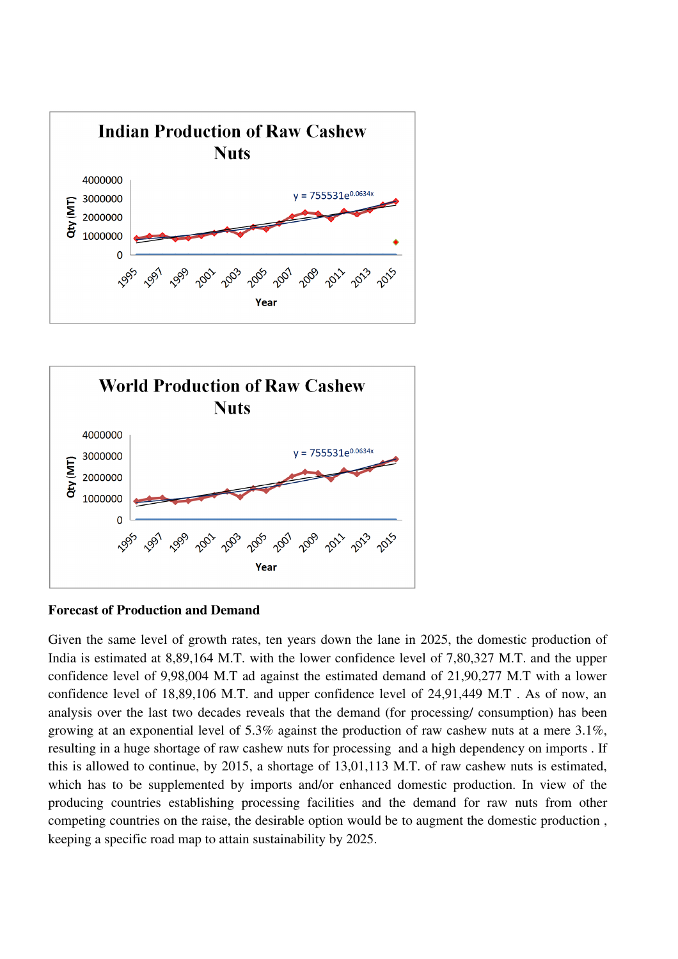



# **Forecast of Production and Demand**

Given the same level of growth rates, ten years down the lane in 2025, the domestic production of India is estimated at 8,89,164 M.T. with the lower confidence level of 7,80,327 M.T. and the upper confidence level of 9,98,004 M.T ad against the estimated demand of 21,90,277 M.T with a lower confidence level of 18,89,106 M.T. and upper confidence level of 24,91,449 M.T . As of now, an analysis over the last two decades reveals that the demand (for processing/ consumption) has been growing at an exponential level of 5.3% against the production of raw cashew nuts at a mere 3.1%, resulting in a huge shortage of raw cashew nuts for processing and a high dependency on imports . If this is allowed to continue, by 2015, a shortage of 13,01,113 M.T. of raw cashew nuts is estimated, which has to be supplemented by imports and/or enhanced domestic production. In view of the producing countries establishing processing facilities and the demand for raw nuts from other competing countries on the raise, the desirable option would be to augment the domestic production , keeping a specific road map to attain sustainability by 2025.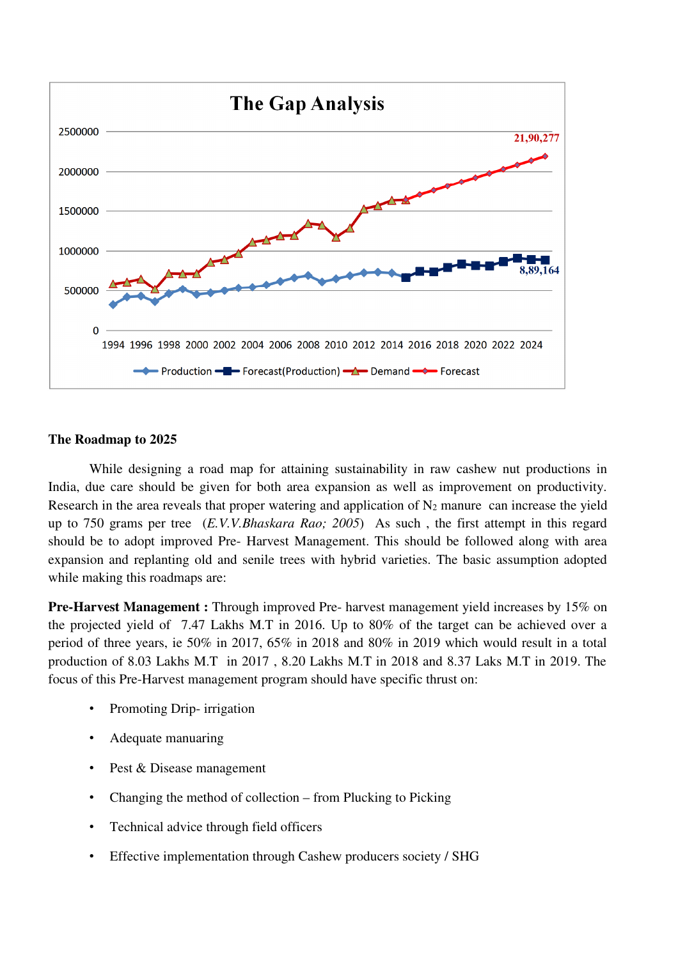

# **The Roadmap to 2025**

While designing a road map for attaining sustainability in raw cashew nut productions in India, due care should be given for both area expansion as well as improvement on productivity. Research in the area reveals that proper watering and application of  $N_2$  manure can increase the yield up to 750 grams per tree (*E.V.V.Bhaskara Rao; 2005*) As such , the first attempt in this regard should be to adopt improved Pre- Harvest Management. This should be followed along with area expansion and replanting old and senile trees with hybrid varieties. The basic assumption adopted while making this roadmaps are:

**Pre-Harvest Management :** Through improved Pre- harvest management yield increases by 15% on the projected yield of 7.47 Lakhs M.T in 2016. Up to 80% of the target can be achieved over a period of three years, ie 50% in 2017, 65% in 2018 and 80% in 2019 which would result in a total production of 8.03 Lakhs M.T in 2017 , 8.20 Lakhs M.T in 2018 and 8.37 Laks M.T in 2019. The focus of this Pre-Harvest management program should have specific thrust on:

- Promoting Drip- irrigation
- Adequate manuaring
- Pest & Disease management
- Changing the method of collection from Plucking to Picking
- Technical advice through field officers
- Effective implementation through Cashew producers society / SHG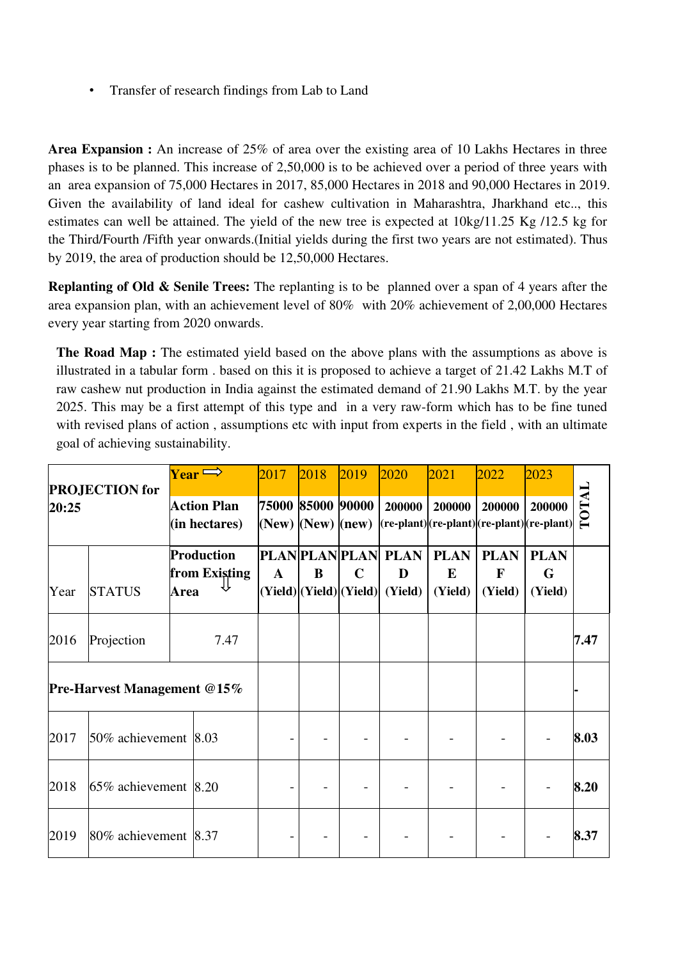• Transfer of research findings from Lab to Land

**Area Expansion :** An increase of 25% of area over the existing area of 10 Lakhs Hectares in three phases is to be planned. This increase of 2,50,000 is to be achieved over a period of three years with an area expansion of 75,000 Hectares in 2017, 85,000 Hectares in 2018 and 90,000 Hectares in 2019. Given the availability of land ideal for cashew cultivation in Maharashtra, Jharkhand etc.., this estimates can well be attained. The yield of the new tree is expected at 10kg/11.25 Kg /12.5 kg for the Third/Fourth /Fifth year onwards.(Initial yields during the first two years are not estimated). Thus by 2019, the area of production should be 12,50,000 Hectares.

**Replanting of Old & Senile Trees:** The replanting is to be planned over a span of 4 years after the area expansion plan, with an achievement level of 80% with 20% achievement of 2,00,000 Hectares every year starting from 2020 onwards.

**The Road Map :** The estimated yield based on the above plans with the assumptions as above is illustrated in a tabular form . based on this it is proposed to achieve a target of 21.42 Lakhs M.T of raw cashew nut production in India against the estimated demand of 21.90 Lakhs M.T. by the year 2025. This may be a first attempt of this type and in a very raw-form which has to be fine tuned with revised plans of action, assumptions etc with input from experts in the field, with an ultimate goal of achieving sustainability.

| <b>PROJECTION</b> for<br>20:25     |                                |      | $\gamma_{\rm ear}$ $\Longrightarrow$<br><b>Action Plan</b><br>$(in$ hectares $)$ | 2017<br>$(New)$ $(New)$ $(new)$ | 2018<br>75000 85000 90000 | 2019        | 2020<br>200000<br>$ (\mathbf{re\text{-}plant}) (\mathbf{re\text{-}plant}) (\mathbf{re\text{-}plant}) (\mathbf{re\text{-}plant}) $ | 2021<br>200000              | 2022<br>200000              | 2023<br>200000              | <b>LATOTAL</b> |
|------------------------------------|--------------------------------|------|----------------------------------------------------------------------------------|---------------------------------|---------------------------|-------------|-----------------------------------------------------------------------------------------------------------------------------------|-----------------------------|-----------------------------|-----------------------------|----------------|
| Year                               | <b>STATUS</b>                  | Area | Production<br>from Existing                                                      | $\mathbf{A}$                    | B                         | $\mathbf C$ | <b>PLAN PLAN PLAN  PLAN  </b><br>D<br>(Yield) (Yield) (Yield)  (Yield)                                                            | <b>PLAN</b><br>E<br>(Yield) | <b>PLAN</b><br>F<br>(Yield) | <b>PLAN</b><br>G<br>(Yield) |                |
| 2016                               | Projection                     |      | 7.47                                                                             |                                 |                           |             |                                                                                                                                   |                             |                             |                             | 7.47           |
| <b>Pre-Harvest Management @15%</b> |                                |      |                                                                                  |                                 |                           |             |                                                                                                                                   |                             |                             |                             |                |
| 2017                               | 50% achievement $ 8.03\rangle$ |      |                                                                                  |                                 |                           |             |                                                                                                                                   |                             |                             |                             | 8.03           |
| 2018                               | $65\%$ achievement $ 8.20$     |      |                                                                                  |                                 |                           |             |                                                                                                                                   |                             |                             |                             | 8.20           |
| 2019                               | 80% achievement 8.37           |      |                                                                                  |                                 |                           |             |                                                                                                                                   |                             |                             |                             | 8.37           |